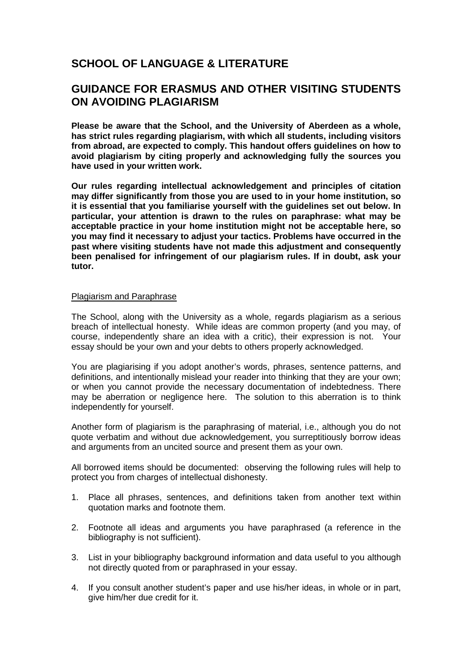# **SCHOOL OF LANGUAGE & LITERATURE**

## **GUIDANCE FOR ERASMUS AND OTHER VISITING STUDENTS ON AVOIDING PLAGIARISM**

**Please be aware that the School, and the University of Aberdeen as a whole, has strict rules regarding plagiarism, with which all students, including visitors from abroad, are expected to comply. This handout offers guidelines on how to avoid plagiarism by citing properly and acknowledging fully the sources you have used in your written work.** 

**Our rules regarding intellectual acknowledgement and principles of citation may differ significantly from those you are used to in your home institution, so it is essential that you familiarise yourself with the guidelines set out below. In particular, your attention is drawn to the rules on paraphrase: what may be acceptable practice in your home institution might not be acceptable here, so you may find it necessary to adjust your tactics. Problems have occurred in the past where visiting students have not made this adjustment and consequently been penalised for infringement of our plagiarism rules. If in doubt, ask your tutor.** 

#### Plagiarism and Paraphrase

The School, along with the University as a whole, regards plagiarism as a serious breach of intellectual honesty. While ideas are common property (and you may, of course, independently share an idea with a critic), their expression is not. Your essay should be your own and your debts to others properly acknowledged.

You are plagiarising if you adopt another's words, phrases, sentence patterns, and definitions, and intentionally mislead your reader into thinking that they are your own; or when you cannot provide the necessary documentation of indebtedness. There may be aberration or negligence here. The solution to this aberration is to think independently for yourself.

Another form of plagiarism is the paraphrasing of material, i.e., although you do not quote verbatim and without due acknowledgement, you surreptitiously borrow ideas and arguments from an uncited source and present them as your own.

All borrowed items should be documented: observing the following rules will help to protect you from charges of intellectual dishonesty.

- 1. Place all phrases, sentences, and definitions taken from another text within quotation marks and footnote them.
- 2. Footnote all ideas and arguments you have paraphrased (a reference in the bibliography is not sufficient).
- 3. List in your bibliography background information and data useful to you although not directly quoted from or paraphrased in your essay.
- 4. If you consult another student's paper and use his/her ideas, in whole or in part, give him/her due credit for it.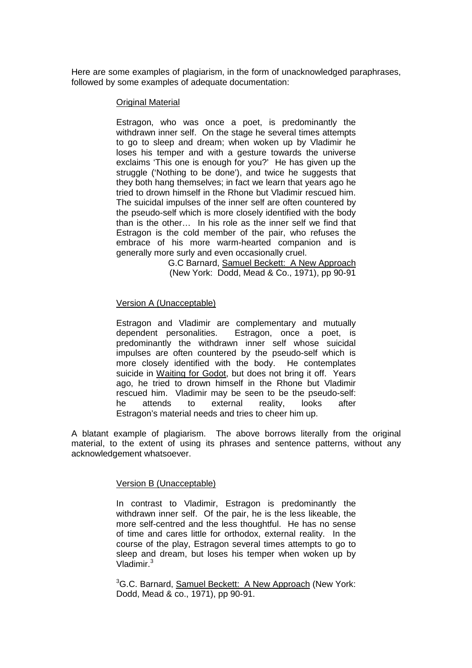Here are some examples of plagiarism, in the form of unacknowledged paraphrases, followed by some examples of adequate documentation:

#### Original Material

Estragon, who was once a poet, is predominantly the withdrawn inner self. On the stage he several times attempts to go to sleep and dream; when woken up by Vladimir he loses his temper and with a gesture towards the universe exclaims 'This one is enough for you?' He has given up the struggle ('Nothing to be done'), and twice he suggests that they both hang themselves; in fact we learn that years ago he tried to drown himself in the Rhone but Vladimir rescued him. The suicidal impulses of the inner self are often countered by the pseudo-self which is more closely identified with the body than is the other… In his role as the inner self we find that Estragon is the cold member of the pair, who refuses the embrace of his more warm-hearted companion and is generally more surly and even occasionally cruel.

> G.C Barnard, Samuel Beckett: A New Approach (New York: Dodd, Mead & Co., 1971), pp 90-91

#### Version A (Unacceptable)

Estragon and Vladimir are complementary and mutually dependent personalities. Estragon, once a poet, is predominantly the withdrawn inner self whose suicidal impulses are often countered by the pseudo-self which is more closely identified with the body. He contemplates suicide in Waiting for Godot, but does not bring it off. Years ago, he tried to drown himself in the Rhone but Vladimir rescued him. Vladimir may be seen to be the pseudo-self: he attends to external reality, looks after Estragon's material needs and tries to cheer him up.

A blatant example of plagiarism. The above borrows literally from the original material, to the extent of using its phrases and sentence patterns, without any acknowledgement whatsoever.

#### Version B (Unacceptable)

In contrast to Vladimir, Estragon is predominantly the withdrawn inner self. Of the pair, he is the less likeable, the more self-centred and the less thoughtful. He has no sense of time and cares little for orthodox, external reality. In the course of the play, Estragon several times attempts to go to sleep and dream, but loses his temper when woken up by Vladimir.<sup>3</sup>

<sup>3</sup>G.C. Barnard, Samuel **Beckett: A New Approach (New York:** Dodd, Mead & co., 1971), pp 90-91.